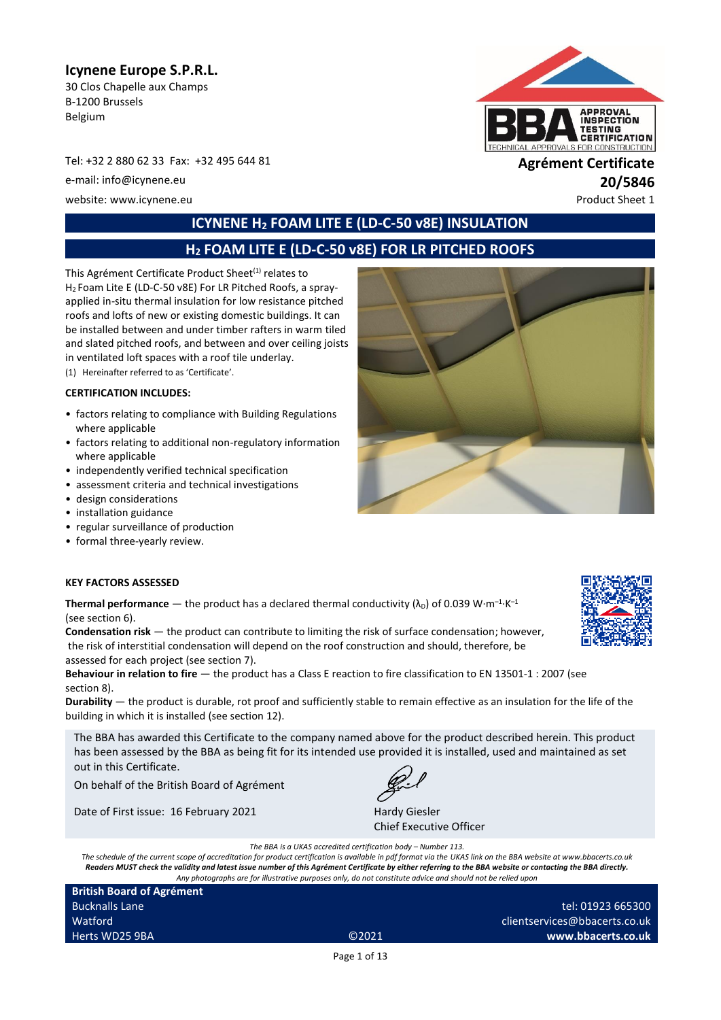## **Icynene Europe S.P.R.L.**

30 Clos Chapelle aux Champs B-1200 Brussels Belgium

Tel: +32 2 880 62 33 Fax: +32 495 644 81 **Agrément Certificate**

e-mail: info@icynene.eu **20/5846**

website: www.icynene.eu entry and the extra state of the extra state of the Product Sheet 1

# **APPROVAL**<br>INSPECTION **TESTING<br>CERTIFICATION** PROVALS FOR CONSTRUCTION

# **ICYNENE H<sup>2</sup> FOAM LITE E (LD-C-50 v8E) INSULATION**

# **H<sup>2</sup> FOAM LITE E (LD-C-50 v8E) FOR LR PITCHED ROOFS**

This Agrément Certificate Product Sheet<sup>(1)</sup> relates to H<sup>2</sup> Foam Lite E (LD-C-50 v8E) For LR Pitched Roofs, a sprayapplied in-situ thermal insulation for low resistance pitched roofs and lofts of new or existing domestic buildings. It can be installed between and under timber rafters in warm tiled and slated pitched roofs, and between and over ceiling joists in ventilated loft spaces with a roof tile underlay.

(1) Hereinafter referred to as 'Certificate'.

#### **CERTIFICATION INCLUDES:**

- factors relating to compliance with Building Regulations where applicable
- factors relating to additional non-regulatory information where applicable
- independently verified technical specification
- assessment criteria and technical investigations
- design considerations
- installation guidance
- regular surveillance of production
- formal three-yearly review.



#### **KEY FACTORS ASSESSED**

**Thermal performance**  $-$  the product has a declared thermal conductivity ( $\lambda_{\text{D}}$ ) of 0.039 W·m<sup>-1</sup>·K<sup>-1</sup> (see section 6).

**Condensation risk** — the product can contribute to limiting the risk of surface condensation; however, the risk of interstitial condensation will depend on the roof construction and should, therefore, be assessed for each project (see section 7).

**Behaviour in relation to fire** — the product has a Class E reaction to fire classification to EN 13501-1 : 2007 (see section 8).

**Durability** — the product is durable, rot proof and sufficiently stable to remain effective as an insulation for the life of the building in which it is installed (see section 12).

The BBA has awarded this Certificate to the company named above for the product described herein. This product has been assessed by the BBA as being fit for its intended use provided it is installed, used and maintained as set out in this Certificate.

On behalf of the British Board of Agrément

Date of First issue: 16 February 2021 Hardy Giesler



Chief Executive Officer

*The BBA is a UKAS accredited certification body – Number 113.*

*The schedule of the current scope of accreditation for product certification is available in pdf format via the UKAS link on the BBA website at www.bbacerts.co.uk Readers MUST check the validity and latest issue number of this Agrément Certificate by either referring to the BBA website or contacting the BBA directly. Any photographs are for illustrative purposes only, do not constitute advice and should not be relied upon*

**British Board of Agrément** Bucknalls Lane Watford Herts WD25 9BA ©2021

tel: 01923 665300 clientservices@bbacerts.co.uk **www.bbacerts.co.uk**

Page 1 of 13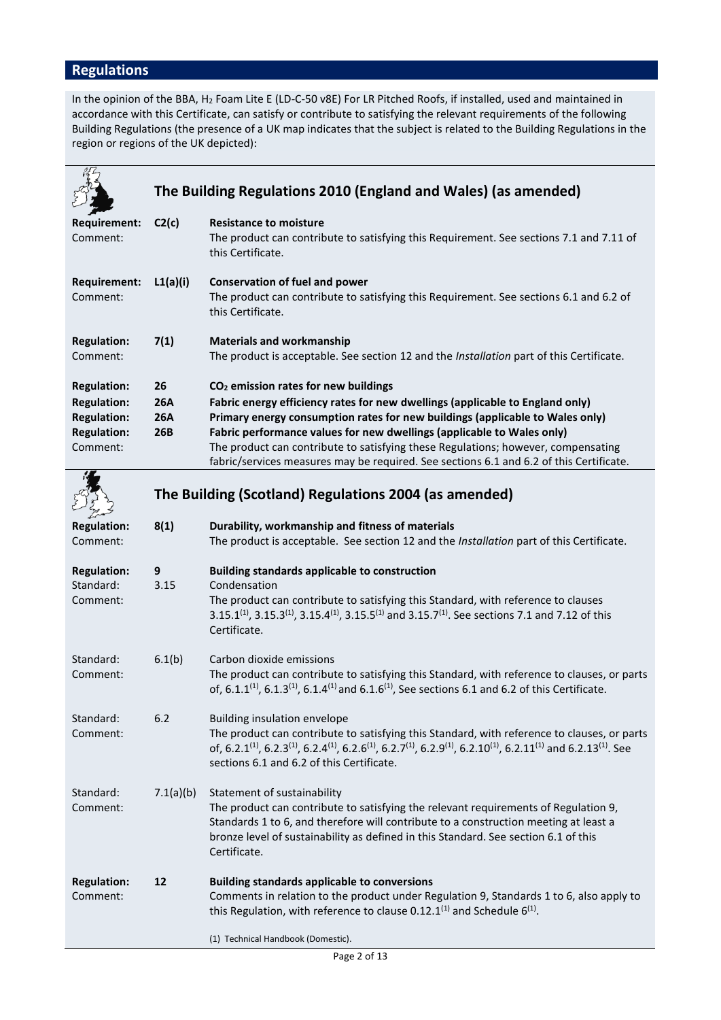# **Regulations**

In the opinion of the BBA, H<sup>2</sup> Foam Lite E (LD-C-50 v8E) For LR Pitched Roofs, if installed, used and maintained in accordance with this Certificate, can satisfy or contribute to satisfying the relevant requirements of the following Building Regulations (the presence of a UK map indicates that the subject is related to the Building Regulations in the region or regions of the UK depicted):

|                                                                            | The Building Regulations 2010 (England and Wales) (as amended) |                                                                                                                                                                                                                                                                                                                                                                                                                          |  |
|----------------------------------------------------------------------------|----------------------------------------------------------------|--------------------------------------------------------------------------------------------------------------------------------------------------------------------------------------------------------------------------------------------------------------------------------------------------------------------------------------------------------------------------------------------------------------------------|--|
| Requirement:<br>Comment:                                                   | C2(c)                                                          | <b>Resistance to moisture</b><br>The product can contribute to satisfying this Requirement. See sections 7.1 and 7.11 of<br>this Certificate.                                                                                                                                                                                                                                                                            |  |
| Requirement:<br>Comment:                                                   | L1(a)(i)                                                       | <b>Conservation of fuel and power</b><br>The product can contribute to satisfying this Requirement. See sections 6.1 and 6.2 of<br>this Certificate.                                                                                                                                                                                                                                                                     |  |
| <b>Regulation:</b><br>Comment:                                             | 7(1)                                                           | <b>Materials and workmanship</b><br>The product is acceptable. See section 12 and the Installation part of this Certificate.                                                                                                                                                                                                                                                                                             |  |
| <b>Regulation:</b>                                                         | 26                                                             | CO <sub>2</sub> emission rates for new buildings                                                                                                                                                                                                                                                                                                                                                                         |  |
| <b>Regulation:</b><br><b>Regulation:</b><br><b>Regulation:</b><br>Comment: | <b>26A</b><br><b>26A</b><br>26B                                | Fabric energy efficiency rates for new dwellings (applicable to England only)<br>Primary energy consumption rates for new buildings (applicable to Wales only)<br>Fabric performance values for new dwellings (applicable to Wales only)<br>The product can contribute to satisfying these Regulations; however, compensating<br>fabric/services measures may be required. See sections 6.1 and 6.2 of this Certificate. |  |
|                                                                            | The Building (Scotland) Regulations 2004 (as amended)          |                                                                                                                                                                                                                                                                                                                                                                                                                          |  |
| <b>Regulation:</b><br>Comment:                                             | 8(1)                                                           | Durability, workmanship and fitness of materials<br>The product is acceptable. See section 12 and the Installation part of this Certificate.                                                                                                                                                                                                                                                                             |  |
| <b>Regulation:</b><br>Standard:<br>Comment:                                | 9<br>3.15                                                      | <b>Building standards applicable to construction</b><br>Condensation<br>The product can contribute to satisfying this Standard, with reference to clauses<br>3.15.1 <sup>(1)</sup> , 3.15.3 <sup>(1)</sup> , 3.15.4 <sup>(1)</sup> , 3.15.5 <sup>(1)</sup> and 3.15.7 <sup>(1)</sup> . See sections 7.1 and 7.12 of this<br>Certificate.                                                                                 |  |
| Standard:<br>Comment:                                                      | 6.1(b)                                                         | Carbon dioxide emissions<br>The product can contribute to satisfying this Standard, with reference to clauses, or parts<br>of, 6.1.1 <sup>(1)</sup> , 6.1.3 <sup>(1)</sup> , 6.1.4 <sup>(1)</sup> and 6.1.6 <sup>(1)</sup> , See sections 6.1 and 6.2 of this Certificate.                                                                                                                                               |  |
| Standard:<br>Comment:                                                      | 6.2                                                            | Building insulation envelope<br>The product can contribute to satisfying this Standard, with reference to clauses, or parts<br>of, 6.2.1 <sup>(1)</sup> , 6.2.3 <sup>(1)</sup> , 6.2.4 <sup>(1)</sup> , 6.2.6 <sup>(1)</sup> , 6.2.7 <sup>(1)</sup> , 6.2.9 <sup>(1)</sup> , 6.2.10 <sup>(1)</sup> , 6.2.11 <sup>(1)</sup> and 6.2.13 <sup>(1)</sup> . See<br>sections 6.1 and 6.2 of this Certificate.                  |  |
| Standard:<br>Comment:                                                      | 7.1(a)(b)                                                      | Statement of sustainability<br>The product can contribute to satisfying the relevant requirements of Regulation 9,<br>Standards 1 to 6, and therefore will contribute to a construction meeting at least a<br>bronze level of sustainability as defined in this Standard. See section 6.1 of this<br>Certificate.                                                                                                        |  |
| <b>Regulation:</b><br>Comment:                                             | 12                                                             | <b>Building standards applicable to conversions</b><br>Comments in relation to the product under Regulation 9, Standards 1 to 6, also apply to<br>this Regulation, with reference to clause 0.12.1 <sup>(1)</sup> and Schedule $6^{(1)}$ .                                                                                                                                                                               |  |
|                                                                            |                                                                | (1) Technical Handbook (Domestic).                                                                                                                                                                                                                                                                                                                                                                                       |  |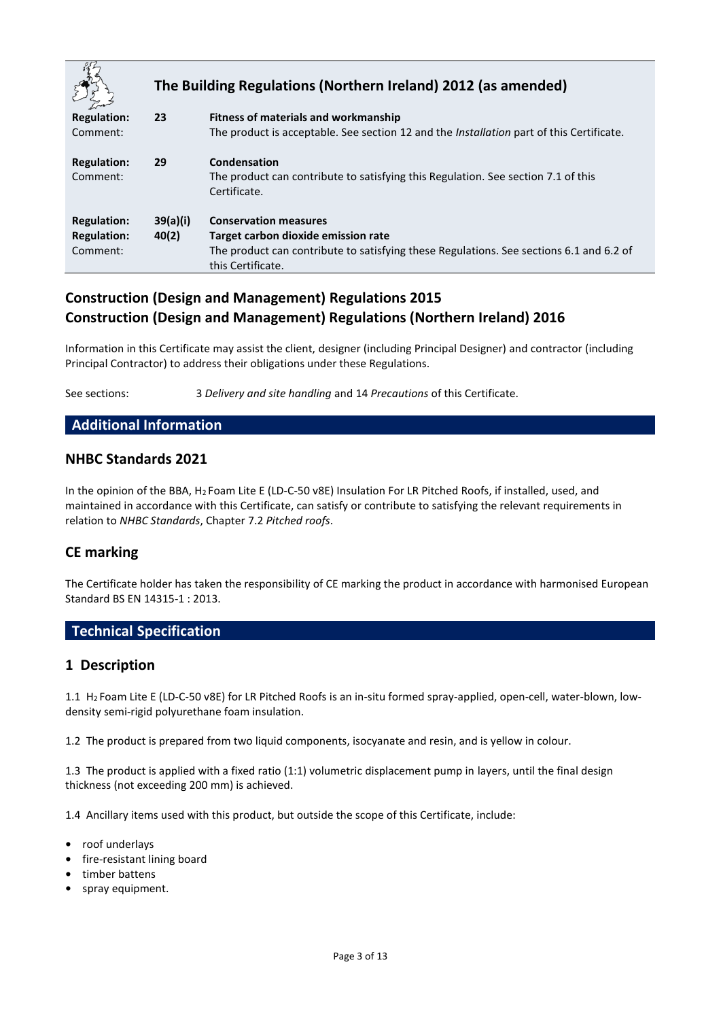|                                                      | The Building Regulations (Northern Ireland) 2012 (as amended) |                                                                                                                                                                                     |  |
|------------------------------------------------------|---------------------------------------------------------------|-------------------------------------------------------------------------------------------------------------------------------------------------------------------------------------|--|
| <b>Regulation:</b><br>Comment:                       | 23                                                            | <b>Fitness of materials and workmanship</b><br>The product is acceptable. See section 12 and the <i>Installation</i> part of this Certificate.                                      |  |
| <b>Regulation:</b><br>Comment:                       | 29                                                            | Condensation<br>The product can contribute to satisfying this Regulation. See section 7.1 of this<br>Certificate.                                                                   |  |
| <b>Regulation:</b><br><b>Regulation:</b><br>Comment: | 39(a)(i)<br>40(2)                                             | <b>Conservation measures</b><br>Target carbon dioxide emission rate<br>The product can contribute to satisfying these Regulations. See sections 6.1 and 6.2 of<br>this Certificate. |  |

## **Construction (Design and Management) Regulations 2015 Construction (Design and Management) Regulations (Northern Ireland) 2016**

Information in this Certificate may assist the client, designer (including Principal Designer) and contractor (including Principal Contractor) to address their obligations under these Regulations.

See sections: 3 *Delivery and site handling* and 14 *Precautions* of this Certificate.

#### **Additional Information**

## **NHBC Standards 2021**

In the opinion of the BBA, H<sup>2</sup> Foam Lite E (LD-C-50 v8E) Insulation For LR Pitched Roofs, if installed, used, and maintained in accordance with this Certificate, can satisfy or contribute to satisfying the relevant requirements in relation to *NHBC Standards*, Chapter 7.2 *Pitched roofs*.

## **CE marking**

The Certificate holder has taken the responsibility of CE marking the product in accordance with harmonised European Standard BS EN 14315-1 : 2013.

## **Technical Specification**

## **1 Description**

1.1 H<sup>2</sup> Foam Lite E (LD-C-50 v8E) for LR Pitched Roofs is an in-situ formed spray-applied, open-cell, water-blown, lowdensity semi-rigid polyurethane foam insulation.

1.2 The product is prepared from two liquid components, isocyanate and resin, and is yellow in colour.

1.3 The product is applied with a fixed ratio (1:1) volumetric displacement pump in layers, until the final design thickness (not exceeding 200 mm) is achieved.

1.4 Ancillary items used with this product, but outside the scope of this Certificate, include:

- **•** roof underlays
- **•** fire-resistant lining board
- **•** timber battens
- **•** spray equipment.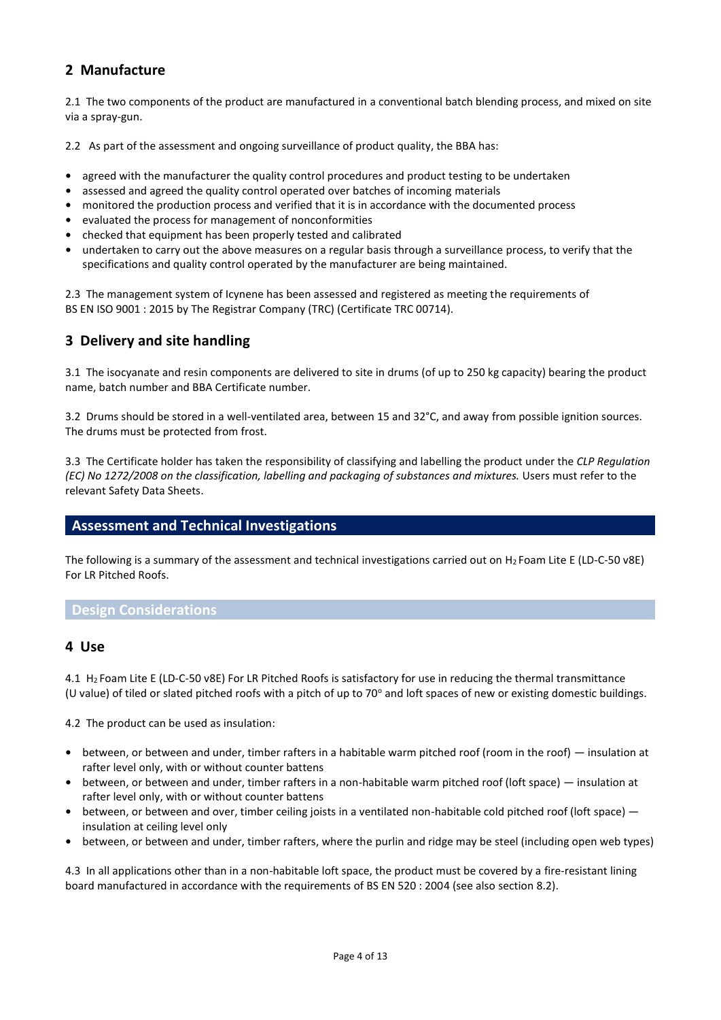## **2 Manufacture**

2.1 The two components of the product are manufactured in a conventional batch blending process, and mixed on site via a spray-gun.

2.2 As part of the assessment and ongoing surveillance of product quality, the BBA has:

- **•** agreed with the manufacturer the quality control procedures and product testing to be undertaken
- **•** assessed and agreed the quality control operated over batches of incoming materials
- **•** monitored the production process and verified that it is in accordance with the documented process
- **•** evaluated the process for management of nonconformities
- **•** checked that equipment has been properly tested and calibrated
- **•** undertaken to carry out the above measures on a regular basis through a surveillance process, to verify that the specifications and quality control operated by the manufacturer are being maintained.

2.3 The management system of Icynene has been assessed and registered as meeting the requirements of BS EN ISO 9001 : 2015 by The Registrar Company (TRC) (Certificate TRC 00714).

## **3 Delivery and site handling**

3.1 The isocyanate and resin components are delivered to site in drums (of up to 250 kg capacity) bearing the product name, batch number and BBA Certificate number.

3.2 Drums should be stored in a well-ventilated area, between 15 and 32°C, and away from possible ignition sources. The drums must be protected from frost.

3.3 The Certificate holder has taken the responsibility of classifying and labelling the product under the *CLP Regulation (EC) No 1272/2008 on the classification, labelling and packaging of substances and mixtures.* Users must refer to the relevant Safety Data Sheets.

## **Assessment and Technical Investigations**

The following is a summary of the assessment and technical investigations carried out on H<sup>2</sup> Foam Lite E (LD-C-50 v8E) For LR Pitched Roofs.

#### **Design Considerations**

#### **4 Use**

4.1 H<sup>2</sup> Foam Lite E (LD-C-50 v8E) For LR Pitched Roofs is satisfactory for use in reducing the thermal transmittance (U value) of tiled or slated pitched roofs with a pitch of up to 70 $^{\circ}$  and loft spaces of new or existing domestic buildings.

4.2 The product can be used as insulation:

- **•** between, or between and under, timber rafters in a habitable warm pitched roof (room in the roof) insulation at rafter level only, with or without counter battens
- **•** between, or between and under, timber rafters in a non-habitable warm pitched roof (loft space) insulation at rafter level only, with or without counter battens
- **•** between, or between and over, timber ceiling joists in a ventilated non-habitable cold pitched roof (loft space) insulation at ceiling level only
- **•** between, or between and under, timber rafters, where the purlin and ridge may be steel (including open web types)

4.3 In all applications other than in a non-habitable loft space, the product must be covered by a fire-resistant lining board manufactured in accordance with the requirements of BS EN 520 : 2004 (see also section 8.2).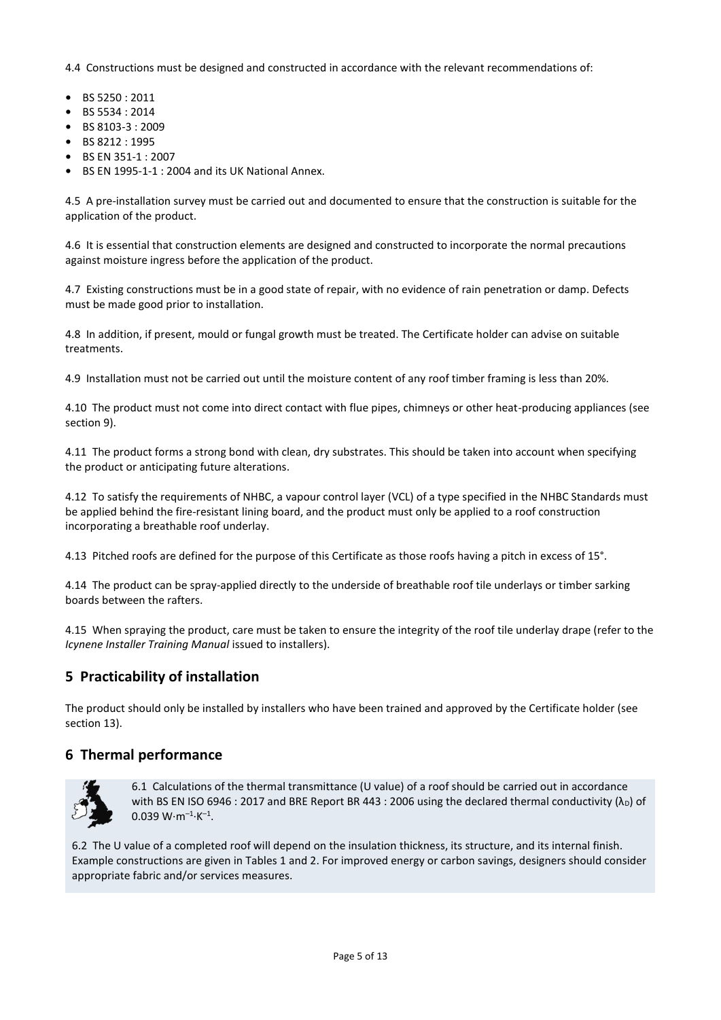4.4 Constructions must be designed and constructed in accordance with the relevant recommendations of:

- **•** BS 5250 : 2011
- **•** BS 5534 : 2014
- **•** BS 8103-3 : 2009
- **•** BS 8212 : 1995
- **•** BS EN 351-1 : 2007
- **•** BS EN 1995-1-1 : 2004 and its UK National Annex.

4.5 A pre-installation survey must be carried out and documented to ensure that the construction is suitable for the application of the product.

4.6 It is essential that construction elements are designed and constructed to incorporate the normal precautions against moisture ingress before the application of the product.

4.7 Existing constructions must be in a good state of repair, with no evidence of rain penetration or damp. Defects must be made good prior to installation.

4.8 In addition, if present, mould or fungal growth must be treated. The Certificate holder can advise on suitable treatments.

4.9 Installation must not be carried out until the moisture content of any roof timber framing is less than 20%.

4.10 The product must not come into direct contact with flue pipes, chimneys or other heat-producing appliances (see section 9).

4.11 The product forms a strong bond with clean, dry substrates. This should be taken into account when specifying the product or anticipating future alterations.

4.12 To satisfy the requirements of NHBC, a vapour control layer (VCL) of a type specified in the NHBC Standards must be applied behind the fire-resistant lining board, and the product must only be applied to a roof construction incorporating a breathable roof underlay.

4.13 Pitched roofs are defined for the purpose of this Certificate as those roofs having a pitch in excess of 15°.

4.14 The product can be spray-applied directly to the underside of breathable roof tile underlays or timber sarking boards between the rafters.

4.15 When spraying the product, care must be taken to ensure the integrity of the roof tile underlay drape (refer to the *Icynene Installer Training Manual* issued to installers).

## **5 Practicability of installation**

The product should only be installed by installers who have been trained and approved by the Certificate holder (see section 13).

## **6 Thermal performance**



6.1 Calculations of the thermal transmittance (U value) of a roof should be carried out in accordance with BS EN ISO 6946 : 2017 and BRE Report BR 443 : 2006 using the declared thermal conductivity  $(\lambda_D)$  of  $0.039 W·m<sup>-1</sup>·K<sup>-1</sup>$ .

6.2 The U value of a completed roof will depend on the insulation thickness, its structure, and its internal finish. Example constructions are given in Tables 1 and 2. For improved energy or carbon savings, designers should consider appropriate fabric and/or services measures.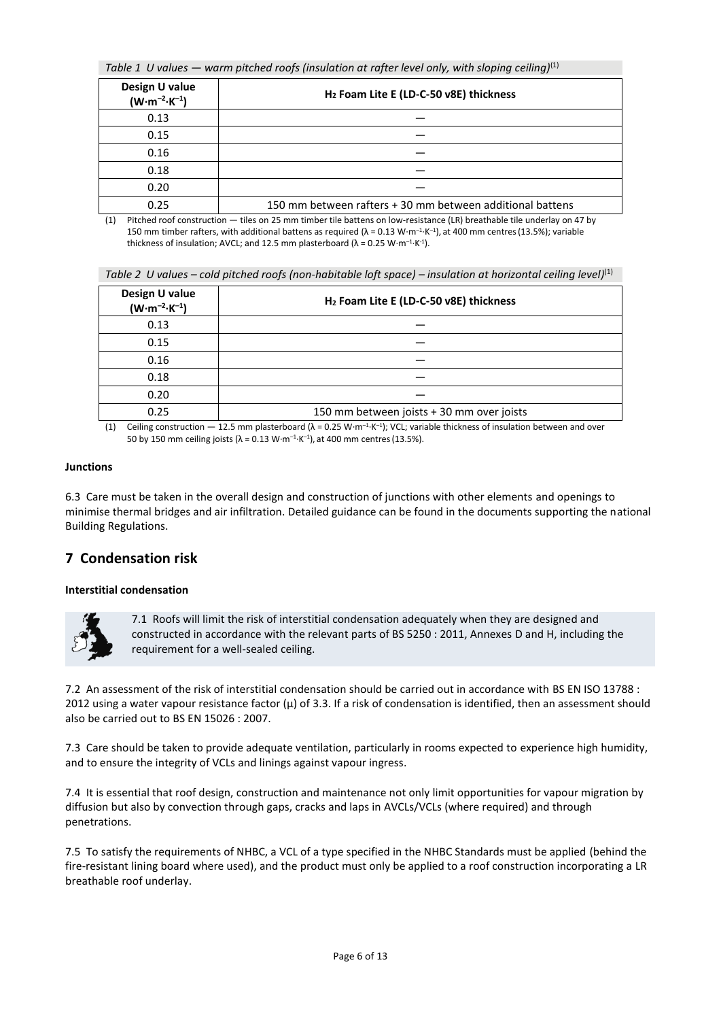*Table 1 U values — warm pitched roofs (insulation at rafter level only, with sloping ceiling)*(1)

| Design U value<br>$(W \cdot m^{-2} \cdot K^{-1})$ | H <sub>2</sub> Foam Lite E (LD-C-50 v8E) thickness        |  |
|---------------------------------------------------|-----------------------------------------------------------|--|
| 0.13                                              |                                                           |  |
| 0.15                                              |                                                           |  |
| 0.16                                              |                                                           |  |
| 0.18                                              |                                                           |  |
| 0.20                                              |                                                           |  |
| 0.25                                              | 150 mm between rafters + 30 mm between additional battens |  |

(1) Pitched roof construction — tiles on 25 mm timber tile battens on low-resistance (LR) breathable tile underlay on 47 by 150 mm timber rafters, with additional battens as required (λ = 0.13 W⋅m<sup>-1</sup>⋅K<sup>-1</sup>), at 400 mm centres (13.5%); variable thickness of insulation; AVCL; and 12.5 mm plasterboard ( $\lambda$  = 0.25 W⋅m<sup>-1</sup>⋅K<sup>-1</sup>).

Table 2 U values – cold pitched roofs (non-habitable loft space) – insulation at horizontal ceiling level)<sup>(1)</sup>

| Design U value<br>$(W \cdot m^{-2} \cdot K^{-1})$ | H <sub>2</sub> Foam Lite E (LD-C-50 v8E) thickness                                                                                                                                                                          |
|---------------------------------------------------|-----------------------------------------------------------------------------------------------------------------------------------------------------------------------------------------------------------------------------|
| 0.13                                              |                                                                                                                                                                                                                             |
| 0.15                                              |                                                                                                                                                                                                                             |
| 0.16                                              |                                                                                                                                                                                                                             |
| 0.18                                              |                                                                                                                                                                                                                             |
| 0.20                                              |                                                                                                                                                                                                                             |
| 0.25                                              | 150 mm between joists + 30 mm over joists                                                                                                                                                                                   |
|                                                   | $(4)$ and $(1)$ and $(1)$ and $(2)$ and $(3)$ and $(4)$ and $(5)$ and $(1)$ and $(1)$ and $(1)$ and $(1)$ and $(1)$ and $(1)$ and $(1)$ and $(1)$ and $(1)$ and $(1)$ and $(1)$ and $(1)$ and $(1)$ and $(1)$ and $(1)$ and |

(1) Ceiling construction — 12.5 mm plasterboard ( $\lambda = 0.25$  W⋅m<sup>-1</sup>⋅K<sup>-1</sup>); VCL; variable thickness of insulation between and over 50 by 150 mm ceiling joists (λ = 0.13 W⋅m<sup>-1</sup>⋅K<sup>-1</sup>), at 400 mm centres (13.5%).

#### **Junctions**

6.3 Care must be taken in the overall design and construction of junctions with other elements and openings to minimise thermal bridges and air infiltration. Detailed guidance can be found in the documents supporting the national Building Regulations.

## **7 Condensation risk**

#### **Interstitial condensation**



7.1 Roofs will limit the risk of interstitial condensation adequately when they are designed and constructed in accordance with the relevant parts of BS 5250 : 2011, Annexes D and H, including the requirement for a well-sealed ceiling.

7.2 An assessment of the risk of interstitial condensation should be carried out in accordance with BS EN ISO 13788 : 2012 using a water vapour resistance factor  $(μ)$  of 3.3. If a risk of condensation is identified, then an assessment should also be carried out to BS EN 15026 : 2007.

7.3 Care should be taken to provide adequate ventilation, particularly in rooms expected to experience high humidity, and to ensure the integrity of VCLs and linings against vapour ingress.

7.4 It is essential that roof design, construction and maintenance not only limit opportunities for vapour migration by diffusion but also by convection through gaps, cracks and laps in AVCLs/VCLs (where required) and through penetrations.

7.5 To satisfy the requirements of NHBC, a VCL of a type specified in the NHBC Standards must be applied (behind the fire-resistant lining board where used), and the product must only be applied to a roof construction incorporating a LR breathable roof underlay.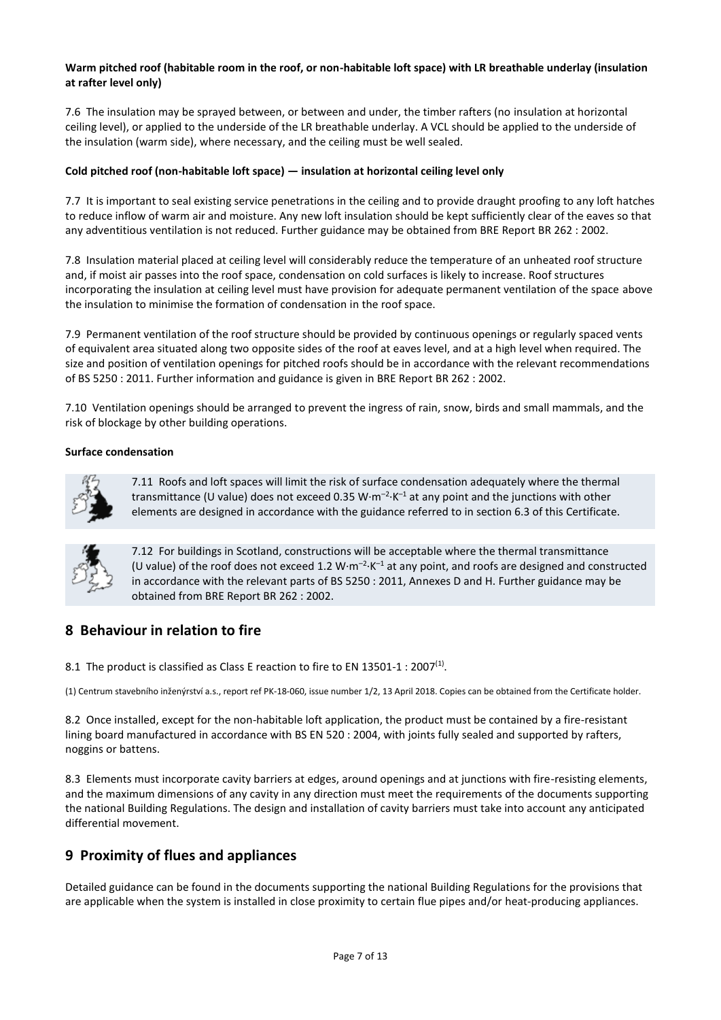#### **Warm pitched roof (habitable room in the roof, or non-habitable loft space) with LR breathable underlay (insulation at rafter level only)**

7.6 The insulation may be sprayed between, or between and under, the timber rafters (no insulation at horizontal ceiling level), or applied to the underside of the LR breathable underlay. A VCL should be applied to the underside of the insulation (warm side), where necessary, and the ceiling must be well sealed.

#### **Cold pitched roof (non-habitable loft space) — insulation at horizontal ceiling level only**

7.7 It is important to seal existing service penetrations in the ceiling and to provide draught proofing to any loft hatches to reduce inflow of warm air and moisture. Any new loft insulation should be kept sufficiently clear of the eaves so that any adventitious ventilation is not reduced. Further guidance may be obtained from BRE Report BR 262 : 2002.

7.8 Insulation material placed at ceiling level will considerably reduce the temperature of an unheated roof structure and, if moist air passes into the roof space, condensation on cold surfaces is likely to increase. Roof structures incorporating the insulation at ceiling level must have provision for adequate permanent ventilation of the space above the insulation to minimise the formation of condensation in the roof space.

7.9 Permanent ventilation of the roof structure should be provided by continuous openings or regularly spaced vents of equivalent area situated along two opposite sides of the roof at eaves level, and at a high level when required. The size and position of ventilation openings for pitched roofs should be in accordance with the relevant recommendations of BS 5250 : 2011. Further information and guidance is given in BRE Report BR 262 : 2002.

7.10 Ventilation openings should be arranged to prevent the ingress of rain, snow, birds and small mammals, and the risk of blockage by other building operations.

#### **Surface condensation**



7.11 Roofs and loft spaces will limit the risk of surface condensation adequately where the thermal transmittance (U value) does not exceed 0.35 W $\cdot$ m<sup>-2</sup> $\cdot$ K<sup>-1</sup> at any point and the junctions with other elements are designed in accordance with the guidance referred to in section 6.3 of this Certificate.



7.12 For buildings in Scotland, constructions will be acceptable where the thermal transmittance (U value) of the roof does not exceed 1.2  $W \cdot m^{-2} \cdot K^{-1}$  at any point, and roofs are designed and constructed in accordance with the relevant parts of BS 5250 : 2011, Annexes D and H. Further guidance may be obtained from BRE Report BR 262 : 2002.

## **8 Behaviour in relation to fire**

8.1 The product is classified as Class E reaction to fire to EN 13501-1 : 2007<sup>(1)</sup>.

(1) Centrum stavebního inženýrství a.s., report ref PK-18-060, issue number 1/2, 13 April 2018. Copies can be obtained from the Certificate holder.

8.2 Once installed, except for the non-habitable loft application, the product must be contained by a fire-resistant lining board manufactured in accordance with BS EN 520 : 2004, with joints fully sealed and supported by rafters, noggins or battens.

8.3 Elements must incorporate cavity barriers at edges, around openings and at junctions with fire-resisting elements, and the maximum dimensions of any cavity in any direction must meet the requirements of the documents supporting the national Building Regulations. The design and installation of cavity barriers must take into account any anticipated differential movement.

## **9 Proximity of flues and appliances**

Detailed guidance can be found in the documents supporting the national Building Regulations for the provisions that are applicable when the system is installed in close proximity to certain flue pipes and/or heat-producing appliances.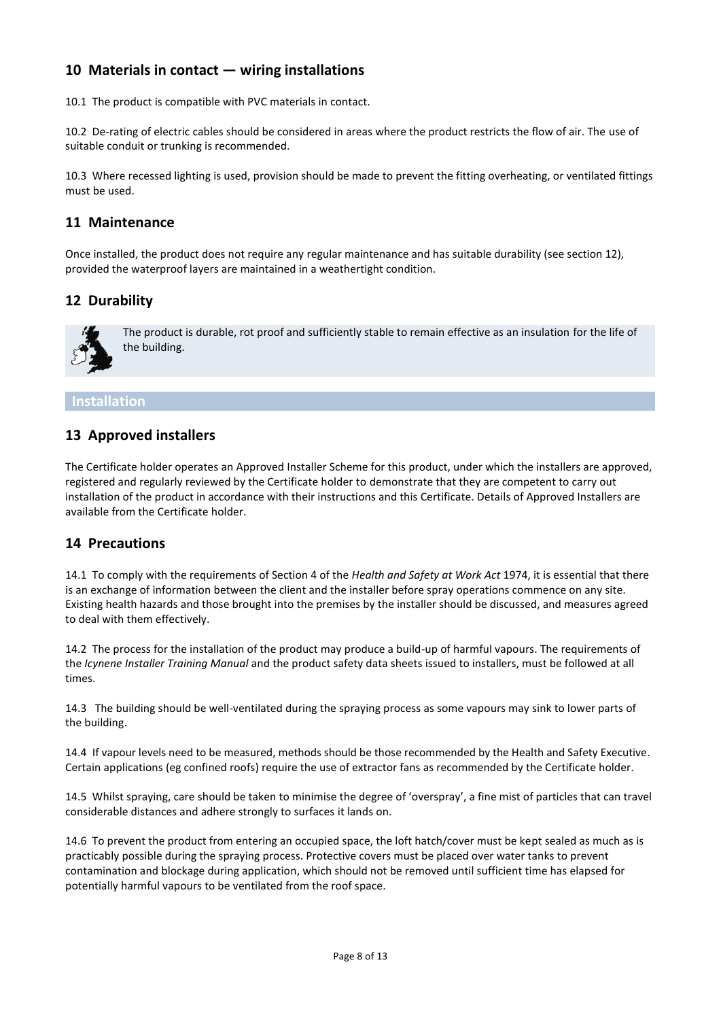## **10 Materials in contact — wiring installations**

10.1 The product is compatible with PVC materials in contact.

10.2 De-rating of electric cables should be considered in areas where the product restricts the flow of air. The use of suitable conduit or trunking is recommended.

10.3 Where recessed lighting is used, provision should be made to prevent the fitting overheating, or ventilated fittings must be used.

## **11 Maintenance**

Once installed, the product does not require any regular maintenance and has suitable durability (see section 12), provided the waterproof layers are maintained in a weathertight condition.

## **12 Durability**



The product is durable, rot proof and sufficiently stable to remain effective as an insulation for the life of the building.

#### **Installation**

## **13 Approved installers**

The Certificate holder operates an Approved Installer Scheme for this product, under which the installers are approved, registered and regularly reviewed by the Certificate holder to demonstrate that they are competent to carry out installation of the product in accordance with their instructions and this Certificate. Details of Approved Installers are available from the Certificate holder.

## **14 Precautions**

14.1 To comply with the requirements of Section 4 of the *Health and Safety at Work Act* 1974, it is essential that there is an exchange of information between the client and the installer before spray operations commence on any site. Existing health hazards and those brought into the premises by the installer should be discussed, and measures agreed to deal with them effectively.

14.2 The process for the installation of the product may produce a build-up of harmful vapours. The requirements of the *Icynene Installer Training Manual* and the product safety data sheets issued to installers, must be followed at all times.

14.3 The building should be well-ventilated during the spraying process as some vapours may sink to lower parts of the building.

14.4 If vapour levels need to be measured, methods should be those recommended by the Health and Safety Executive. Certain applications (eg confined roofs) require the use of extractor fans as recommended by the Certificate holder.

14.5 Whilst spraying, care should be taken to minimise the degree of 'overspray', a fine mist of particles that can travel considerable distances and adhere strongly to surfaces it lands on.

14.6 To prevent the product from entering an occupied space, the loft hatch/cover must be kept sealed as much as is practicably possible during the spraying process. Protective covers must be placed over water tanks to prevent contamination and blockage during application, which should not be removed until sufficient time has elapsed for potentially harmful vapours to be ventilated from the roof space.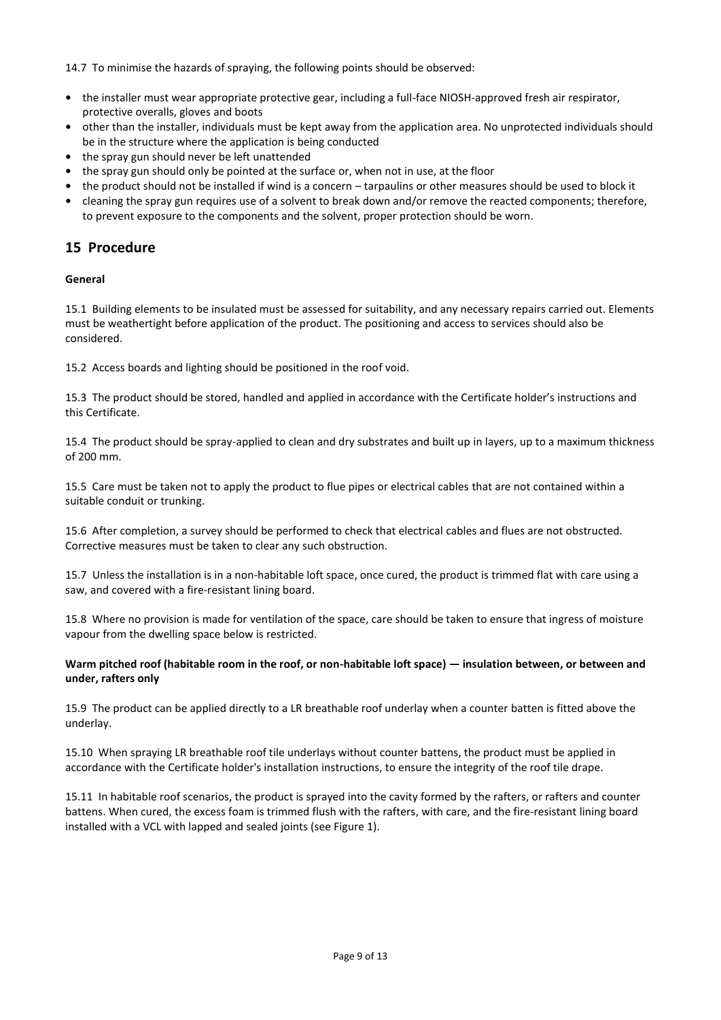14.7 To minimise the hazards of spraying, the following points should be observed:

- **•** the installer must wear appropriate protective gear, including a full-face NIOSH-approved fresh air respirator, protective overalls, gloves and boots
- **•** other than the installer, individuals must be kept away from the application area. No unprotected individuals should be in the structure where the application is being conducted
- **•** the spray gun should never be left unattended
- **•** the spray gun should only be pointed at the surface or, when not in use, at the floor
- **•** the product should not be installed if wind is a concern tarpaulins or other measures should be used to block it
- **•** cleaning the spray gun requires use of a solvent to break down and/or remove the reacted components; therefore, to prevent exposure to the components and the solvent, proper protection should be worn.

## **15 Procedure**

#### **General**

15.1 Building elements to be insulated must be assessed for suitability, and any necessary repairs carried out. Elements must be weathertight before application of the product. The positioning and access to services should also be considered.

15.2 Access boards and lighting should be positioned in the roof void.

15.3 The product should be stored, handled and applied in accordance with the Certificate holder's instructions and this Certificate.

15.4 The product should be spray-applied to clean and dry substrates and built up in layers, up to a maximum thickness of 200 mm.

15.5 Care must be taken not to apply the product to flue pipes or electrical cables that are not contained within a suitable conduit or trunking.

15.6 After completion, a survey should be performed to check that electrical cables and flues are not obstructed. Corrective measures must be taken to clear any such obstruction.

15.7 Unless the installation is in a non-habitable loft space, once cured, the product is trimmed flat with care using a saw, and covered with a fire-resistant lining board.

15.8 Where no provision is made for ventilation of the space, care should be taken to ensure that ingress of moisture vapour from the dwelling space below is restricted.

#### **Warm pitched roof (habitable room in the roof, or non-habitable loft space) — insulation between, or between and under, rafters only**

15.9 The product can be applied directly to a LR breathable roof underlay when a counter batten is fitted above the underlay.

15.10 When spraying LR breathable roof tile underlays without counter battens, the product must be applied in accordance with the Certificate holder's installation instructions, to ensure the integrity of the roof tile drape.

15.11 In habitable roof scenarios, the product is sprayed into the cavity formed by the rafters, or rafters and counter battens. When cured, the excess foam is trimmed flush with the rafters, with care, and the fire-resistant lining board installed with a VCL with lapped and sealed joints (see Figure 1).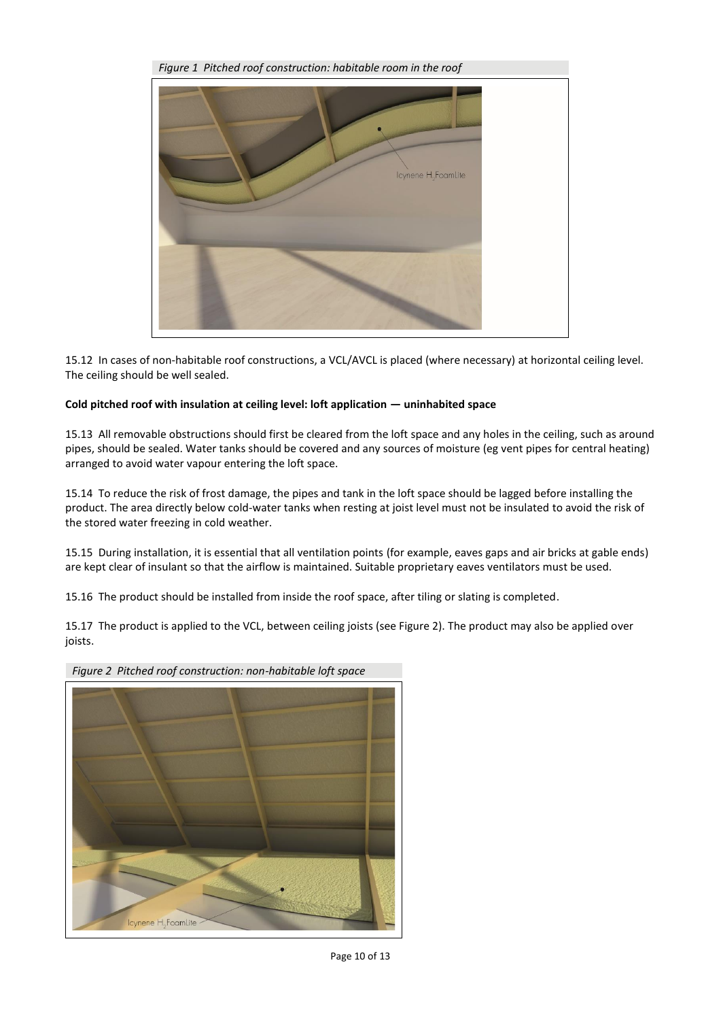

15.12 In cases of non-habitable roof constructions, a VCL/AVCL is placed (where necessary) at horizontal ceiling level. The ceiling should be well sealed.

#### **Cold pitched roof with insulation at ceiling level: loft application — uninhabited space**

15.13 All removable obstructions should first be cleared from the loft space and any holes in the ceiling, such as around pipes, should be sealed. Water tanks should be covered and any sources of moisture (eg vent pipes for central heating) arranged to avoid water vapour entering the loft space.

15.14 To reduce the risk of frost damage, the pipes and tank in the loft space should be lagged before installing the product. The area directly below cold-water tanks when resting at joist level must not be insulated to avoid the risk of the stored water freezing in cold weather.

15.15 During installation, it is essential that all ventilation points (for example, eaves gaps and air bricks at gable ends) are kept clear of insulant so that the airflow is maintained. Suitable proprietary eaves ventilators must be used.

15.16 The product should be installed from inside the roof space, after tiling or slating is completed.

15.17 The product is applied to the VCL, between ceiling joists (see Figure 2). The product may also be applied over joists.



*Figure 2 Pitched roof construction: non-habitable loft space*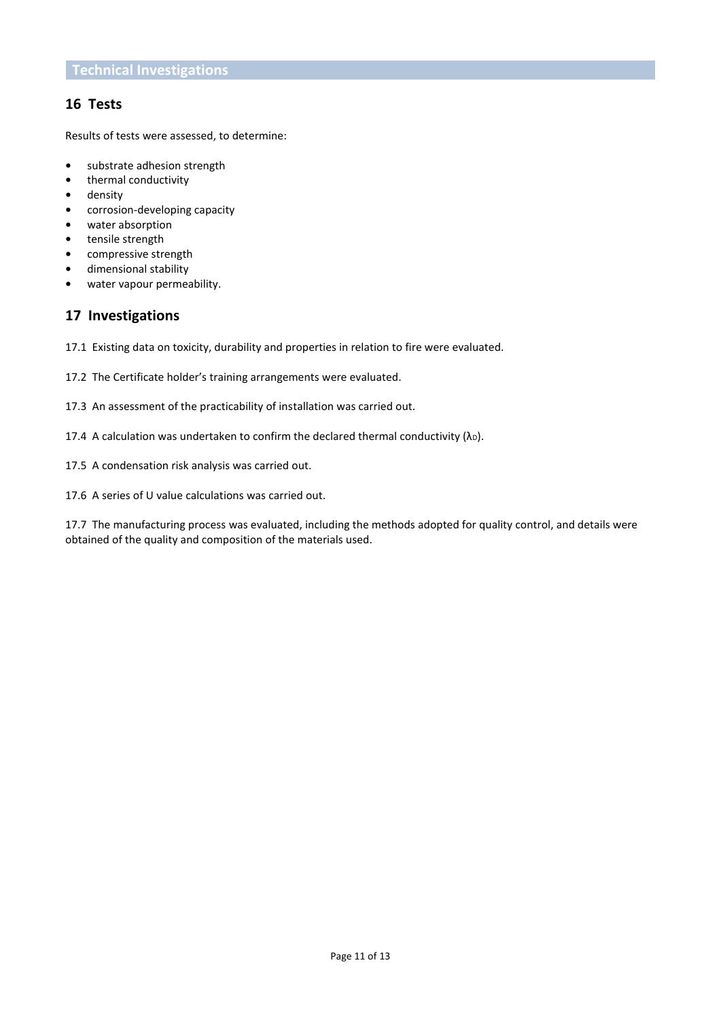## **16 Tests**

Results of tests were assessed, to determine:

- **•** substrate adhesion strength
- **•** thermal conductivity
- **•** density
- **•** corrosion-developing capacity
- **•** water absorption
- **•** tensile strength
- **•** compressive strength
- **•** dimensional stability
- **•** water vapour permeability.

## **17 Investigations**

17.1 Existing data on toxicity, durability and properties in relation to fire were evaluated.

- 17.2 The Certificate holder's training arrangements were evaluated.
- 17.3 An assessment of the practicability of installation was carried out.
- 17.4 A calculation was undertaken to confirm the declared thermal conductivity  $(\lambda_D)$ .
- 17.5 A condensation risk analysis was carried out.
- 17.6 A series of U value calculations was carried out.

17.7 The manufacturing process was evaluated, including the methods adopted for quality control, and details were obtained of the quality and composition of the materials used.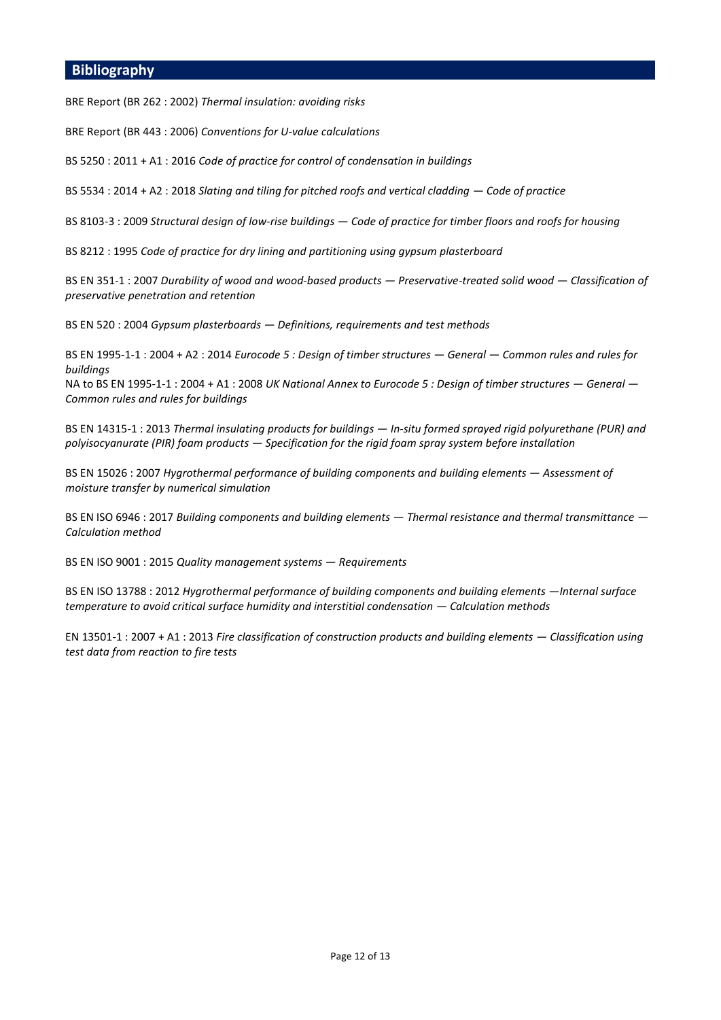### **Bibliography**

BRE Report (BR 262 : 2002) *Thermal insulation: avoiding risks*

BRE Report (BR 443 : 2006) *Conventions for U-value calculations*

BS 5250 : 2011 + A1 : 2016 *Code of practice for control of condensation in buildings*

BS 5534 : 2014 + A2 : 2018 *Slating and tiling for pitched roofs and vertical cladding — Code of practice* 

BS 8103-3 : 2009 *Structural design of low-rise buildings — Code of practice for timber floors and roofs for housing*

BS 8212 : 1995 *Code of practice for dry lining and partitioning using gypsum plasterboard*

BS EN 351-1 : 2007 *Durability of wood and wood-based products — Preservative-treated solid wood — Classification of preservative penetration and retention*

BS EN 520 : 2004 *Gypsum plasterboards — Definitions, requirements and test methods*

BS EN 1995-1-1 : 2004 + A2 : 2014 *Eurocode 5 : Design of timber structures — General — Common rules and rules for buildings*

NA to BS EN 1995-1-1 : 2004 + A1 : 2008 *UK National Annex to Eurocode 5 : Design of timber structures — General — Common rules and rules for buildings*

BS EN 14315-1 : 2013 *Thermal insulating products for buildings — In-situ formed sprayed rigid polyurethane (PUR) and polyisocyanurate (PIR) foam products — Specification for the rigid foam spray system before installation*

BS EN 15026 : 2007 *Hygrothermal performance of building components and building elements - Assessment of moisture transfer by numerical simulation*

BS EN ISO 6946 : 2017 *Building components and building elements — Thermal resistance and thermal transmittance — Calculation method*

BS EN ISO 9001 : 2015 *Quality management systems — Requirements*

BS EN ISO 13788 : 2012 *Hygrothermal performance of building components and building elements —Internal surface temperature to avoid critical surface humidity and interstitial condensation — Calculation methods* 

EN 13501-1 : 2007 + A1 : 2013 *Fire classification of construction products and building elements — Classification using test data from reaction to fire tests*